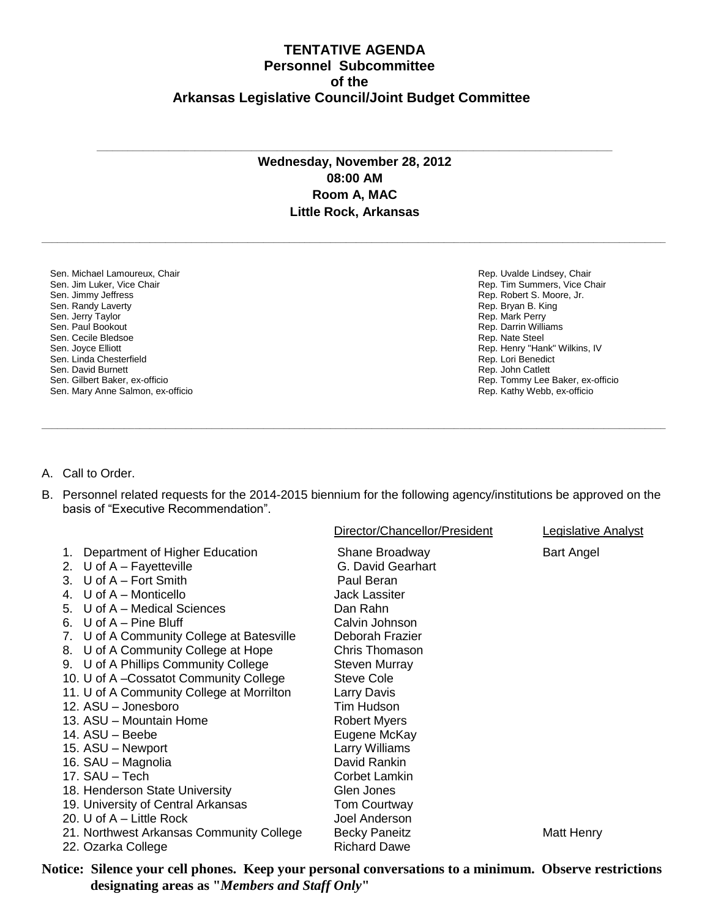## **TENTATIVE AGENDA Personnel Subcommittee of the Arkansas Legislative Council/Joint Budget Committee**

## **Wednesday, November 28, 2012 08:00 AM Room A, MAC Little Rock, Arkansas**

**\_\_\_\_\_\_\_\_\_\_\_\_\_\_\_\_\_\_\_\_\_\_\_\_\_\_\_\_\_\_\_\_\_\_\_\_\_\_\_\_\_\_\_\_\_\_\_\_\_\_\_\_\_\_\_\_\_\_\_\_\_\_\_\_\_\_\_\_\_\_\_\_\_\_\_\_\_\_\_\_\_\_\_\_\_\_\_\_\_\_\_\_\_\_\_\_\_\_\_\_\_\_\_\_\_\_\_\_\_\_\_\_\_\_\_\_\_\_\_\_\_**

**\_\_\_\_\_\_\_\_\_\_\_\_\_\_\_\_\_\_\_\_\_\_\_\_\_\_\_\_\_\_\_\_\_\_\_\_\_\_\_\_\_\_\_\_\_\_\_\_\_\_\_\_\_\_\_\_\_\_\_\_\_\_\_\_\_\_\_\_\_\_\_\_\_\_\_\_\_\_\_\_\_\_\_\_\_\_\_\_\_\_\_\_\_\_\_\_\_\_\_\_**

Sen. Michael Lamoureux, Chair Sen. Jim Luker, Vice Chair Sen. Jimmy Jeffress Sen. Randy Laverty Sen. Jerry Taylor Sen. Paul Bookout Sen. Cecile Bledsoe Sen. Joyce Elliott Sen. Linda Chesterfield Sen. David Burnett Sen. Gilbert Baker, ex-officio Sen. Mary Anne Salmon, ex-officio Rep. Uvalde Lindsey, Chair Rep. Tim Summers, Vice Chair Rep. Robert S. Moore, Jr. Rep. Bryan B. King Rep. Mark Perry Rep. Darrin Williams Rep. Nate Steel Rep. Henry "Hank" Wilkins, IV Rep. Lori Benedict Rep. John Catlett Rep. Tommy Lee Baker, ex-officio Rep. Kathy Webb, ex-officio

- A. Call to Order.
- B. Personnel related requests for the 2014-2015 biennium for the following agency/institutions be approved on the basis of "Executive Recommendation".

**\_\_\_\_\_\_\_\_\_\_\_\_\_\_\_\_\_\_\_\_\_\_\_\_\_\_\_\_\_\_\_\_\_\_\_\_\_\_\_\_\_\_\_\_\_\_\_\_\_\_\_\_\_\_\_\_\_\_\_\_\_\_\_\_\_\_\_\_\_\_\_\_\_\_\_\_\_\_\_\_\_\_\_\_\_\_\_\_\_\_\_\_\_\_\_\_\_\_\_\_\_\_\_\_\_\_\_\_\_\_\_\_\_\_\_\_\_\_\_\_\_**

|                                                                                                                                                                                                                                                                                                                                                                                                                                                                                                                                                          | Director/Chancellor/President                                                                                                                                                                                                                                                                      | Legislative Analyst |
|----------------------------------------------------------------------------------------------------------------------------------------------------------------------------------------------------------------------------------------------------------------------------------------------------------------------------------------------------------------------------------------------------------------------------------------------------------------------------------------------------------------------------------------------------------|----------------------------------------------------------------------------------------------------------------------------------------------------------------------------------------------------------------------------------------------------------------------------------------------------|---------------------|
| Department of Higher Education<br>1.<br>U of $A - F$ ayetteville<br>2 <sub>1</sub><br>3. U of A - Fort Smith<br>4. $U$ of A – Monticello<br>5. U of A - Medical Sciences<br>6. U of $A -$ Pine Bluff<br>7. U of A Community College at Batesville<br>8. U of A Community College at Hope<br>9. U of A Phillips Community College<br>10. U of A-Cossatot Community College<br>11. U of A Community College at Morrilton<br>12. ASU - Jonesboro<br>13. ASU - Mountain Home<br>14. ASU - Beebe<br>15. ASU - Newport<br>16. SAU - Magnolia<br>17. SAU - Tech | Shane Broadway<br>G. David Gearhart<br>Paul Beran<br><b>Jack Lassiter</b><br>Dan Rahn<br>Calvin Johnson<br>Deborah Frazier<br>Chris Thomason<br>Steven Murray<br>Steve Cole<br>Larry Davis<br>Tim Hudson<br><b>Robert Myers</b><br>Eugene McKay<br>Larry Williams<br>David Rankin<br>Corbet Lamkin | <b>Bart Angel</b>   |
|                                                                                                                                                                                                                                                                                                                                                                                                                                                                                                                                                          |                                                                                                                                                                                                                                                                                                    |                     |
| 18. Henderson State University                                                                                                                                                                                                                                                                                                                                                                                                                                                                                                                           | Glen Jones                                                                                                                                                                                                                                                                                         |                     |
| 19. University of Central Arkansas<br>20. U of $A - L$ ittle Rock                                                                                                                                                                                                                                                                                                                                                                                                                                                                                        | <b>Tom Courtway</b><br>Joel Anderson                                                                                                                                                                                                                                                               |                     |
| 21. Northwest Arkansas Community College                                                                                                                                                                                                                                                                                                                                                                                                                                                                                                                 | <b>Becky Paneitz</b>                                                                                                                                                                                                                                                                               | Matt Henry          |
| 22. Ozarka College                                                                                                                                                                                                                                                                                                                                                                                                                                                                                                                                       | <b>Richard Dawe</b>                                                                                                                                                                                                                                                                                |                     |

**Notice: Silence your cell phones. Keep your personal conversations to a minimum. Observe restrictions designating areas as "***Members and Staff Only***"**